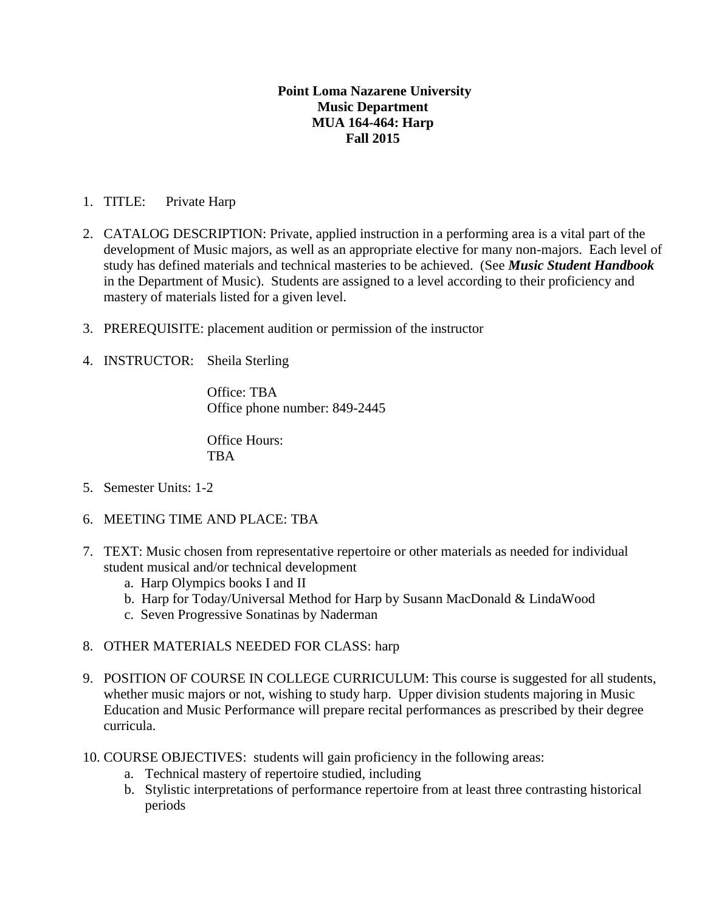## **Point Loma Nazarene University Music Department MUA 164-464: Harp Fall 2015**

## 1. TITLE: Private Harp

- 2. CATALOG DESCRIPTION: Private, applied instruction in a performing area is a vital part of the development of Music majors, as well as an appropriate elective for many non-majors. Each level of study has defined materials and technical masteries to be achieved. (See *Music Student Handbook* in the Department of Music). Students are assigned to a level according to their proficiency and mastery of materials listed for a given level.
- 3. PREREQUISITE: placement audition or permission of the instructor
- 4. INSTRUCTOR: Sheila Sterling

Office: TBA Office phone number: 849-2445

Office Hours: TBA

- 5. Semester Units: 1-2
- 6. MEETING TIME AND PLACE: TBA
- 7. TEXT: Music chosen from representative repertoire or other materials as needed for individual student musical and/or technical development
	- a. Harp Olympics books I and II
	- b. Harp for Today/Universal Method for Harp by Susann MacDonald & LindaWood
	- c. Seven Progressive Sonatinas by Naderman
- 8. OTHER MATERIALS NEEDED FOR CLASS: harp
- 9. POSITION OF COURSE IN COLLEGE CURRICULUM: This course is suggested for all students, whether music majors or not, wishing to study harp. Upper division students majoring in Music Education and Music Performance will prepare recital performances as prescribed by their degree curricula.
- 10. COURSE OBJECTIVES: students will gain proficiency in the following areas:
	- a. Technical mastery of repertoire studied, including
	- b. Stylistic interpretations of performance repertoire from at least three contrasting historical periods